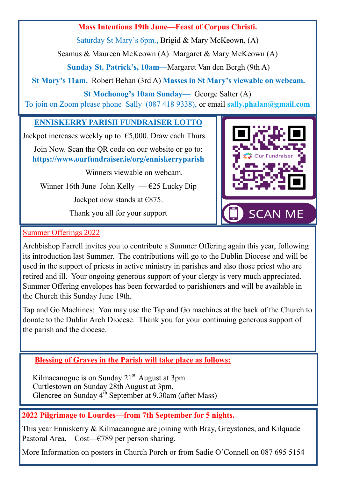## **Mass Intentions 19th June—Feast of Corpus Christi.**

Saturday St Mary's 6pm., Brigid & Mary McKeown, (A)

Seamus & Maureen McKeown (A) Margaret & Mary McKeown (A)

**Sunday St. Patrick's, 10am—**Margaret Van den Bergh (9th A)

**St Mary's 11am,** Robert Behan (3rd A) **Masses in St Mary's viewable on webcam.**

**St Mochonog's 10am Sunday—** George Salter (A)

To join on Zoom please phone Sally (087 418 9338), or email **sally.phalan@gmail.com** 

## **ENNISKERRY PARISH FUNDRAISER LOTTO**

Jackpot increases weekly up to  $\epsilon$ 5,000. Draw each Thurs

Join Now. Scan the QR code on our website or go to: **https://www.ourfundraiser.ie/org/enniskerryparish**

Winners viewable on webcam.

Winner 16th June John Kelly —  $\epsilon$ 25 Lucky Dip

Jackpot now stands at  $€875$ .

Thank you all for your support



## Summer Offerings 2022

Archbishop Farrell invites you to contribute a Summer Offering again this year, following its introduction last Summer. The contributions will go to the Dublin Diocese and will be used in the support of priests in active ministry in parishes and also those priest who are retired and ill. Your ongoing generous support of your clergy is very much appreciated. Summer Offering envelopes has been forwarded to parishioners and will be available in the Church this Sunday June 19th.

Tap and Go Machines: You may use the Tap and Go machines at the back of the Church to donate to the Dublin Arch Diocese. Thank you for your continuing generous support of the parish and the diocese.

# **Blessing of Graves in the Parish will take place as follows:**

Kilmacanogue is on Sunday  $21<sup>st</sup>$  August at 3pm Curtlestown on Sunday 28th August at 3pm, Glencree on Sunday  $4^{th}$  September at 9.30am (after Mass)

# **2022 Pilgrimage to Lourdes—from 7th September for 5 nights.**

This year Enniskerry & Kilmacanogue are joining with Bray, Greystones, and Kilquade Pastoral Area. Cost—€789 per person sharing.

More Information on posters in Church Porch or from Sadie O'Connell on 087 695 5154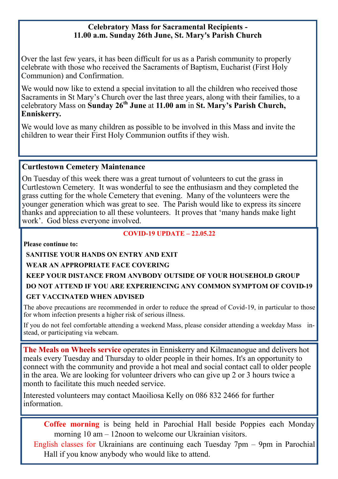#### **Celebratory Mass for Sacramental Recipients - 11.00 a.m. Sunday 26th June, St. Mary's Parish Church**

Over the last few years, it has been difficult for us as a Parish community to properly celebrate with those who received the Sacraments of Baptism, Eucharist (First Holy Communion) and Confirmation.

We would now like to extend a special invitation to all the children who received those Sacraments in St Mary's Church over the last three years, along with their families, to a celebratory Mass on **Sunday 26th June** at **11.00 am** in **St. Mary's Parish Church, Enniskerry.**

We would love as many children as possible to be involved in this Mass and invite the children to wear their First Holy Communion outfits if they wish.

#### **Curtlestown Cemetery Maintenance**

On Tuesday of this week there was a great turnout of volunteers to cut the grass in Curtlestown Cemetery. It was wonderful to see the enthusiasm and they completed the grass cutting for the whole Cemetery that evening. Many of the volunteers were the younger generation which was great to see. The Parish would like to express its sincere thanks and appreciation to all these volunteers. It proves that 'many hands make light work'. God bless everyone involved.

#### **COVID-19 UPDATE – 22.05.22**

**Please continue to:**

**SANITISE YOUR HANDS ON ENTRY AND EXIT**

#### **WEAR AN APPROPRIATE FACE COVERING**

# **KEEP YOUR DISTANCE FROM ANYBODY OUTSIDE OF YOUR HOUSEHOLD GROUP DO NOT ATTEND IF YOU ARE EXPERIENCING ANY COMMON SYMPTOM OF COVID-19**

#### **GET VACCINATED WHEN ADVISED**

The above precautions are recommended in order to reduce the spread of Covid-19, in particular to those for whom infection presents a higher risk of serious illness.

If you do not feel comfortable attending a weekend Mass, please consider attending a weekday Mass instead, or participating via webcam.

**The Meals on Wheels service** operates in Enniskerry and Kilmacanogue and delivers hot meals every Tuesday and Thursday to older people in their homes. It's an opportunity to connect with the community and provide a hot meal and social contact call to older people in the area. We are looking for volunteer drivers who can give up 2 or 3 hours twice a month to facilitate this much needed service.

Interested volunteers may contact Maoiliosa Kelly on 086 832 2466 for further information.

**Coffee morning** is being held in Parochial Hall beside Poppies each Monday morning 10 am – 12noon to welcome our Ukrainian visitors.

English classes for Ukrainians are continuing each Tuesday 7pm – 9pm in Parochial Hall if you know anybody who would like to attend.